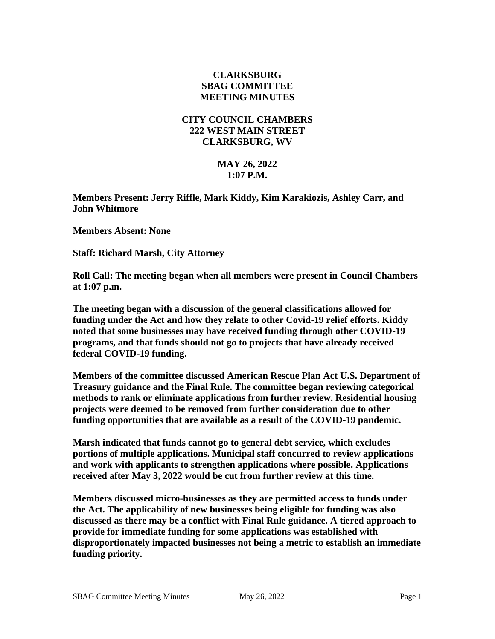## **CLARKSBURG SBAG COMMITTEE MEETING MINUTES**

## **CITY COUNCIL CHAMBERS 222 WEST MAIN STREET CLARKSBURG, WV**

## **MAY 26, 2022 1:07 P.M.**

**Members Present: Jerry Riffle, Mark Kiddy, Kim Karakiozis, Ashley Carr, and John Whitmore**

**Members Absent: None**

**Staff: Richard Marsh, City Attorney**

**Roll Call: The meeting began when all members were present in Council Chambers at 1:07 p.m.**

**The meeting began with a discussion of the general classifications allowed for funding under the Act and how they relate to other Covid-19 relief efforts. Kiddy noted that some businesses may have received funding through other COVID-19 programs, and that funds should not go to projects that have already received federal COVID-19 funding.**

**Members of the committee discussed American Rescue Plan Act U.S. Department of Treasury guidance and the Final Rule. The committee began reviewing categorical methods to rank or eliminate applications from further review. Residential housing projects were deemed to be removed from further consideration due to other funding opportunities that are available as a result of the COVID-19 pandemic.**

**Marsh indicated that funds cannot go to general debt service, which excludes portions of multiple applications. Municipal staff concurred to review applications and work with applicants to strengthen applications where possible. Applications received after May 3, 2022 would be cut from further review at this time.** 

**Members discussed micro-businesses as they are permitted access to funds under the Act. The applicability of new businesses being eligible for funding was also discussed as there may be a conflict with Final Rule guidance. A tiered approach to provide for immediate funding for some applications was established with disproportionately impacted businesses not being a metric to establish an immediate funding priority.**